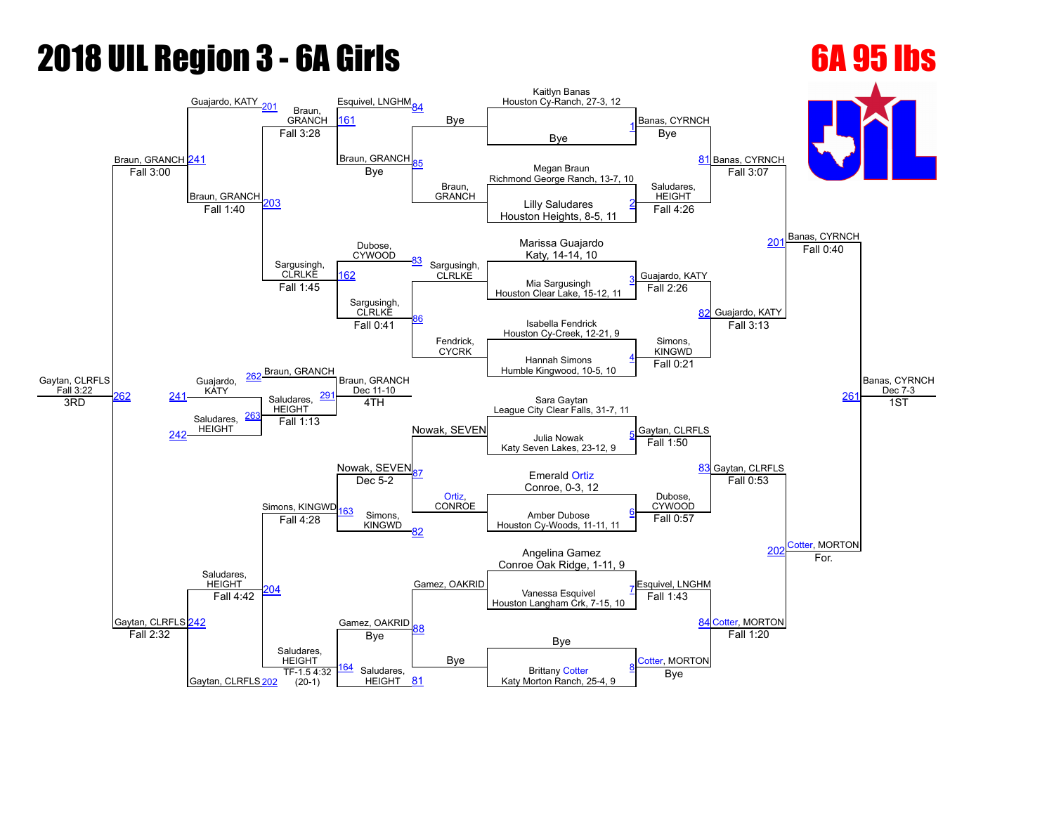## **2018 UIL Region 3 - 6A Girls 6A 95 lbs**

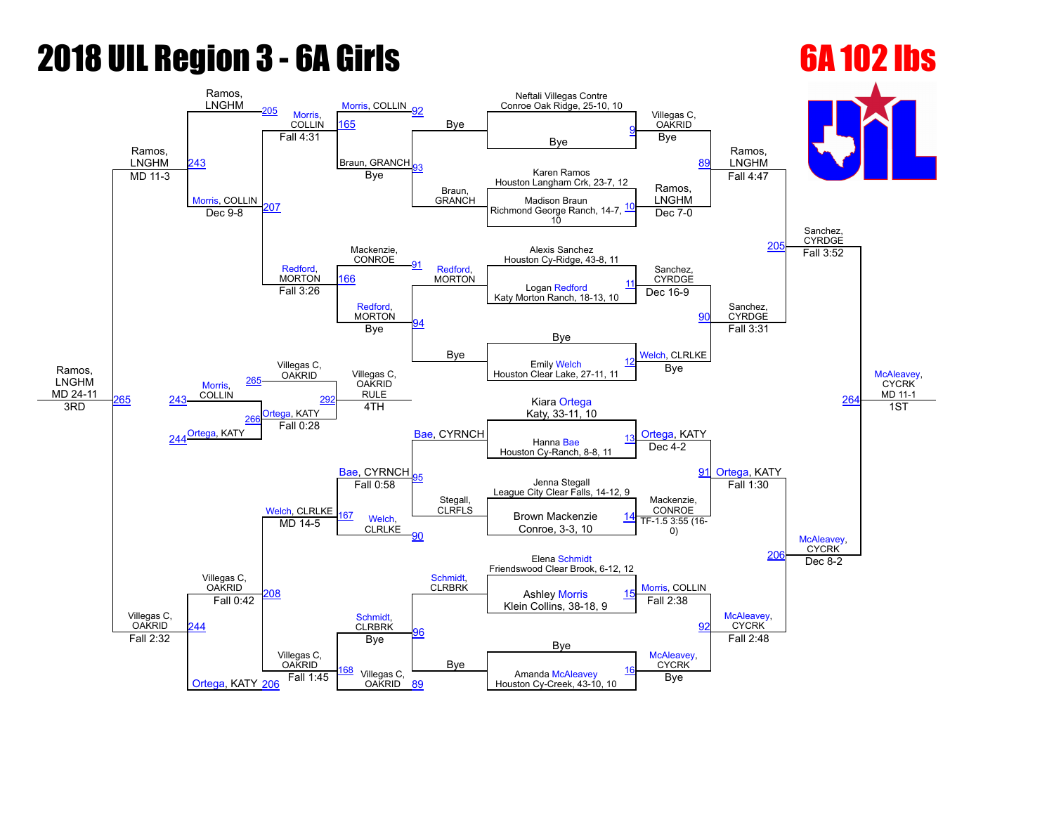# **2018 UIL Region 3 - 6A Girls 6A 102 lbs**

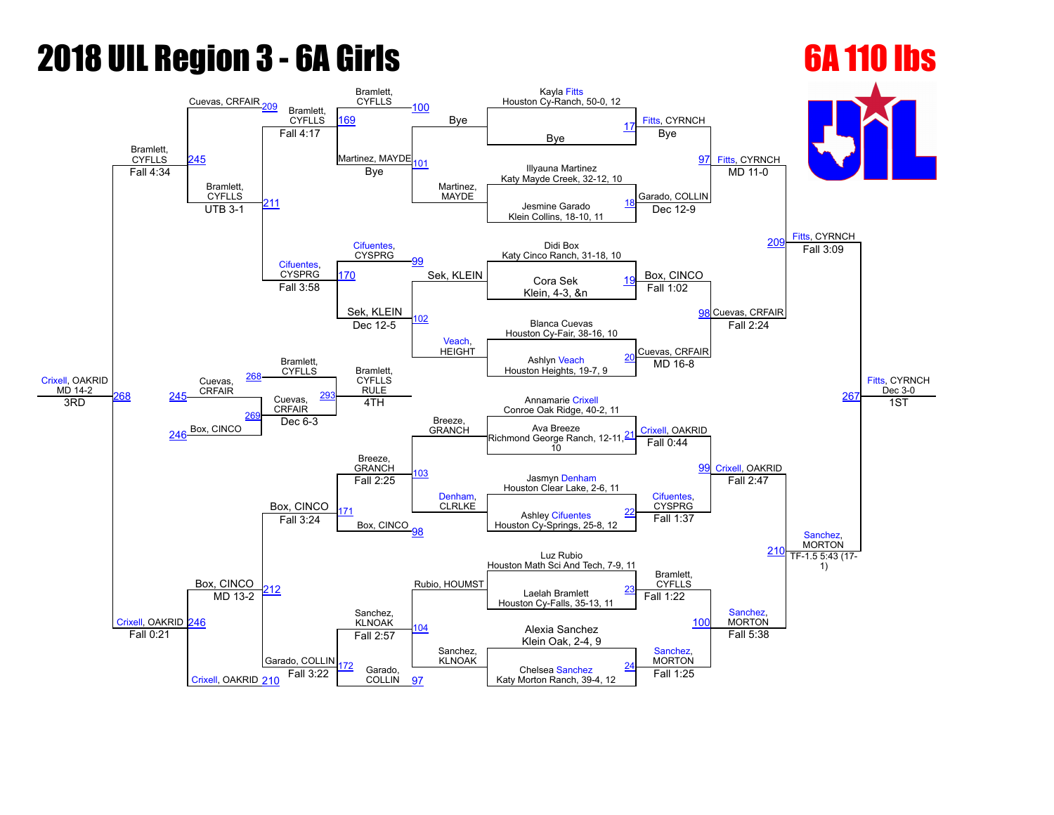### **2018 UIL Region 3 - 6A Girls 6A 110 lbs**

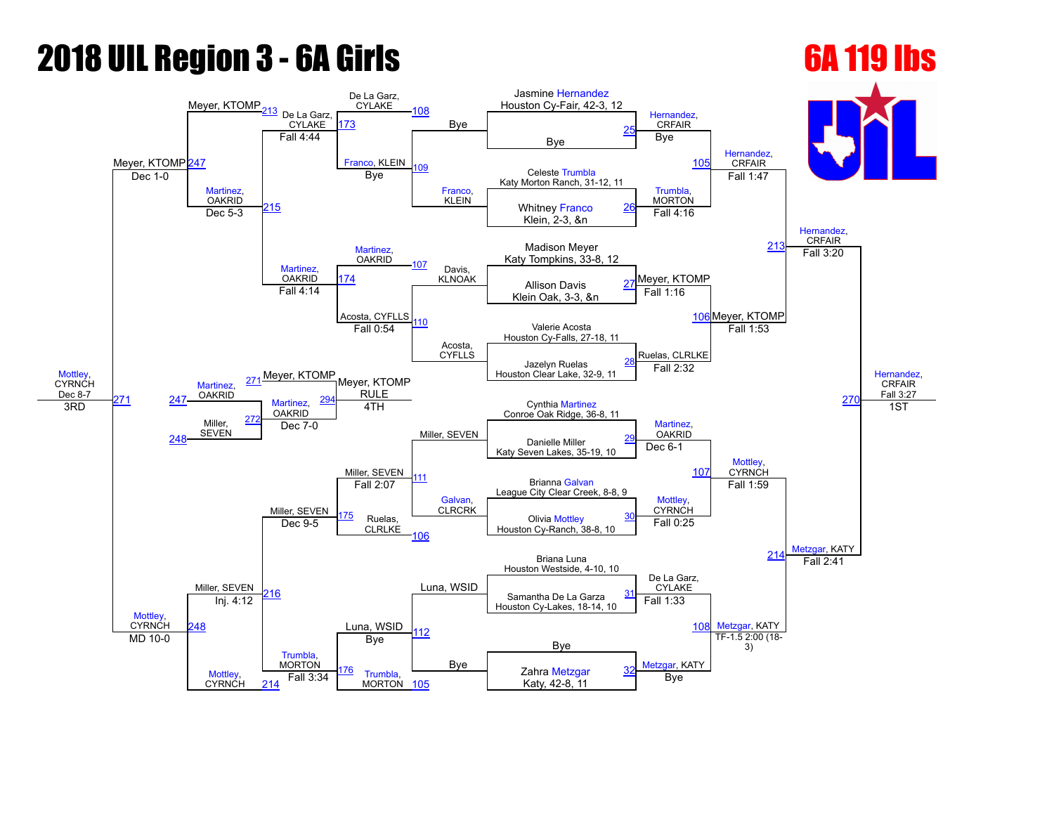# **2018 UIL Region 3 - 6A Girls 6A 119 lbs**

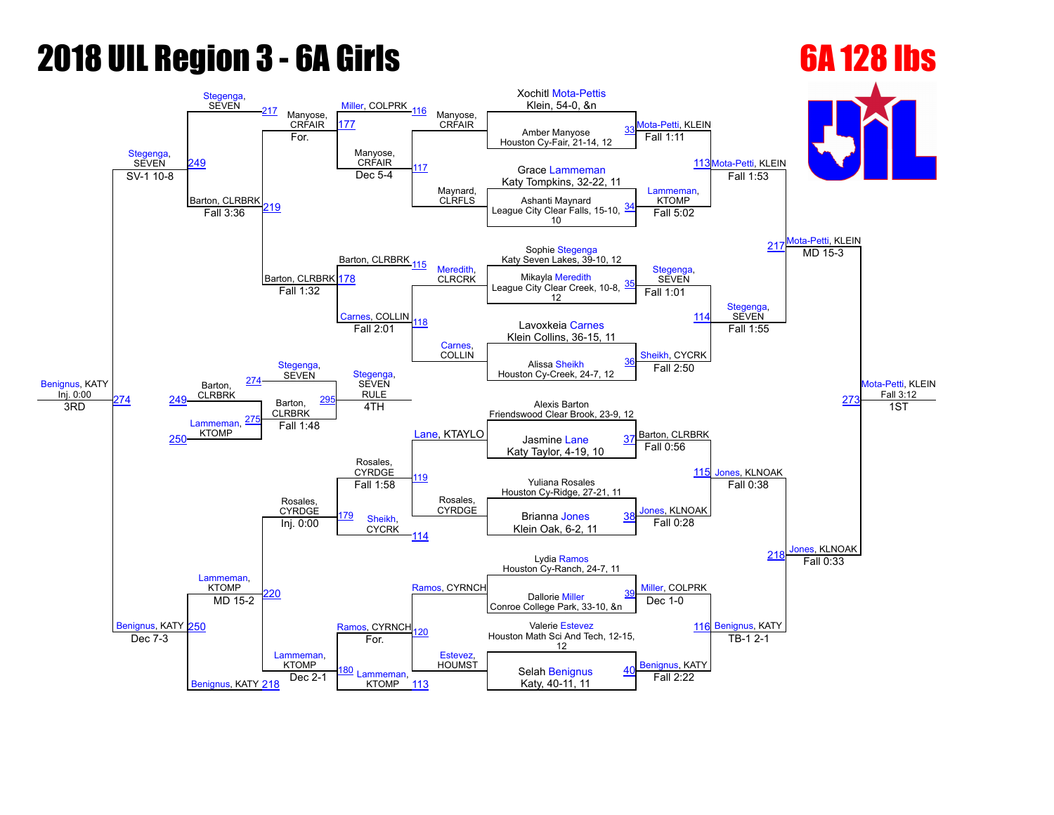# **2018 UIL Region 3 - 6A Girls 6A 128 lbs**

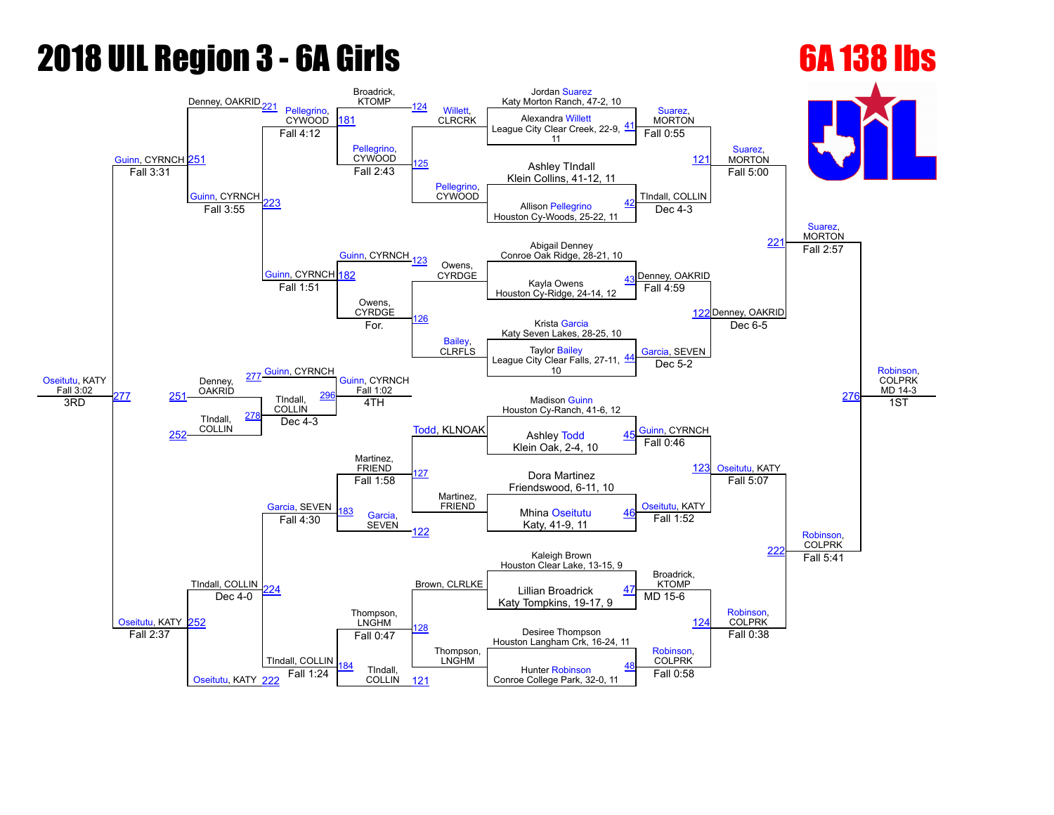# **2018 UIL Region 3 - 6A Girls 6A 138 lbs**

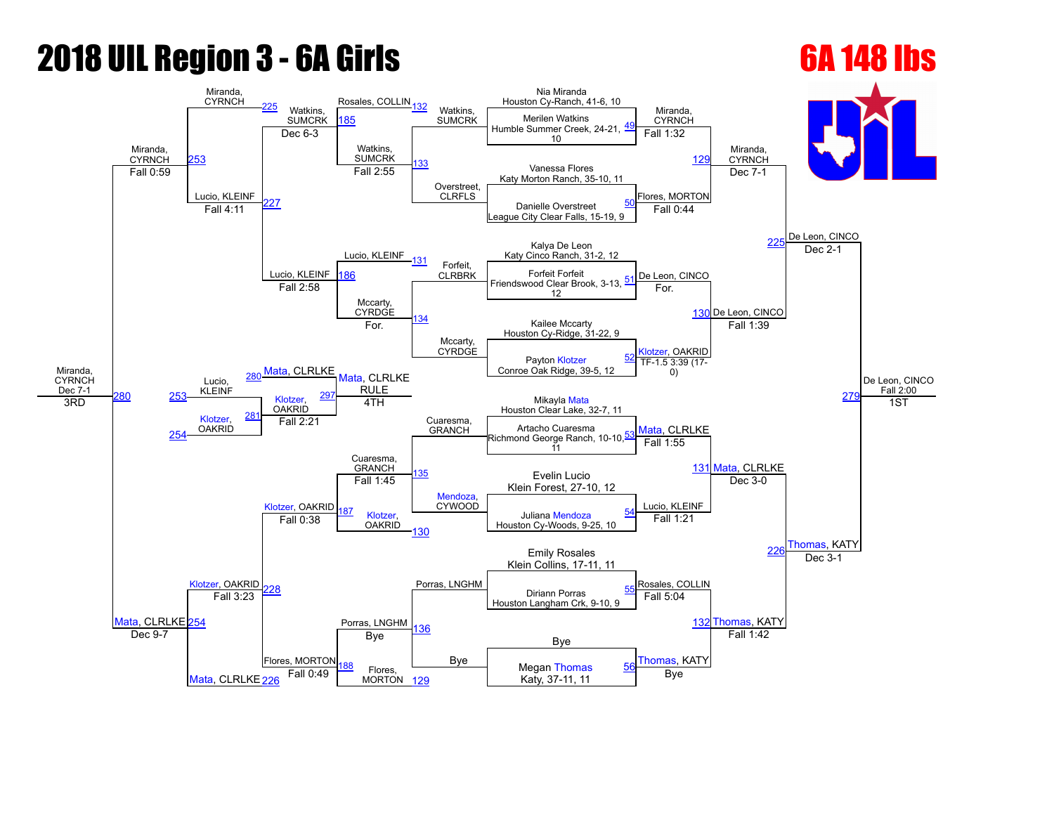# **2018 UIL Region 3 - 6A Girls 6A 148 lbs**

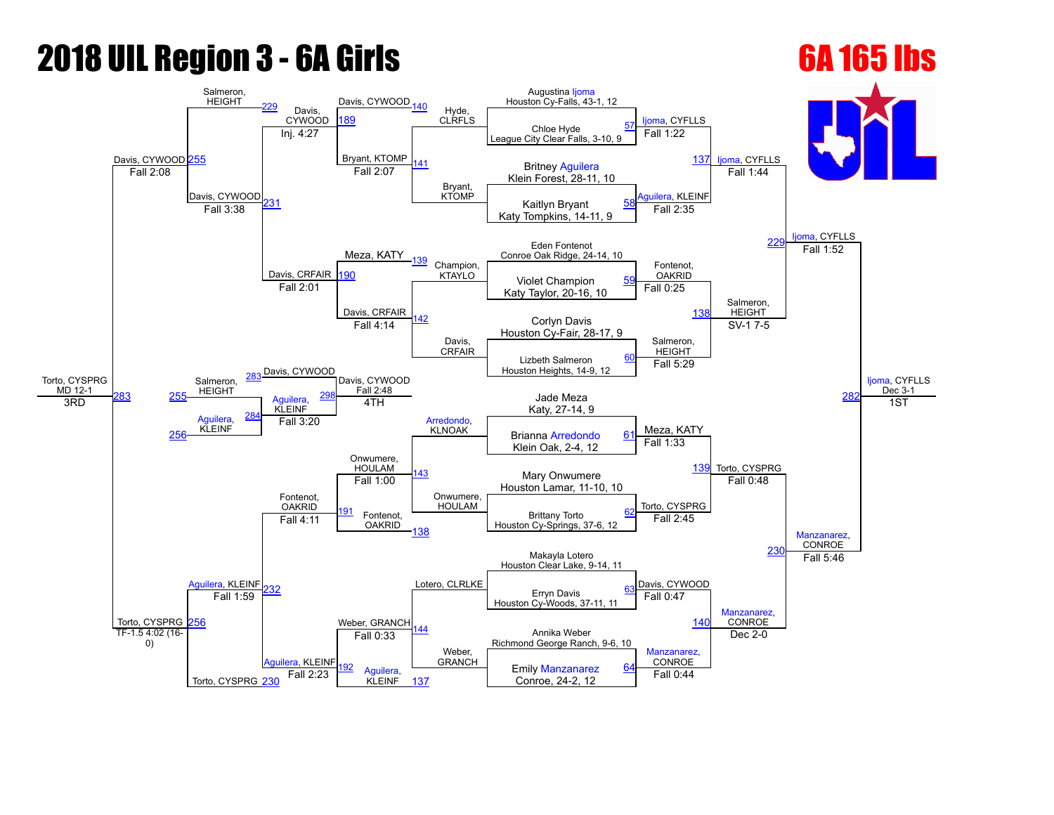## **2018 UIL Region 3 - 6A Girls 6A 165 lbs**

### Torto, CYSPRG MD 12-1 Davis, CYWOOD [255](javascript:openBoutSheet(25,) Salmeron, **HEIGHT** Davis, CYWOOD Davis, CYWOOD [140](javascript:openBoutSheet(15,) Hyde, CLRFLS Augustina [Ijoma](javascript:viewProfile(245842096)) Houston Cy-Falls, 43-1, 12 [Ijoma,](javascript:viewProfile(245842096)) CYFLLS lioma, CYFLLS ljoma, CYFLLS [Ijoma,](javascript:viewProfile(245842096)) CYFLLS Dec 3-1 [189](javascript:openBoutSheet(18,) Chloe Hyde League City Clear Falls, 3-10, 9 [57](javascript:openBoutSheet(1,) Inj. 4:27 Bryant, KTOMP [141](javascript:openBoutSheet(10,) Bryant, KTOMP Fall  $1:22$ [137](javascript:openBoutSheet(9,) Britney [Aguilera](javascript:viewProfile(45309076)) Klein Forest, 28-11, 10 Fall 2:08 Davis, CYWOOD יף? Fall 2:07 [Aguilera,](javascript:viewProfile(45309076)) KLEINF Fall 1:44  $\begin{array}{|c|c|c|c|c|}\n\hline\n\end{array}$  Eail 3:38  $\begin{array}{|c|c|c|}\n\hline\n\end{array}$  Eail 3:38  $\begin{array}{|c|c|c|}\n\hline\n\end{array}$  Eail 3:38  $\begin{array}{|c|c|c|}\n\hline\n\end{array}$  Eail 3:38  $\begin{array}{|c|c|c|}\n\hline\n\end{array}$  Eail 3:38  $\begin{array}{|c|c|c|}\n\hline\n\end{array}$ Katy Tompkins, 14-11, 9 Meza, KATY Fall 2:35 Eden Fontenot and The Contract of the Contract of the Contract of the Contract of the Contract of the Contract of the Contract of the Contract of the Contract of the Contract of the Contract of the Contract of the Contract Conroe Oak Ridge, 24-14, 10 Davis, CRFAIR [139](javascript:openBoutSheet(13,) Champion, KTAYLO Fontenot, OAKRID Fall 1:52 [190](javascript:openBoutSheet(19,) KTAYLO Violet Champion Katy Taylor, 20-16, 10 [59](javascript:openBoutSheet(3,) Fall 2:01 Davis, CRFAIR  $\overline{42}$ Davis, CRFAIR Fall 0:25 [138](javascript:openBoutSheet(11,) Salmeron, HEIGHT Corlyn Davis Houston Cy-Fair, 28-17, 9 283 Davis, CYWOOD Fall 4:14 Salmeron, HEIGHT  $SV-1$   $7-5$ [282](javascript:openBoutSheet(29,) Lizbeth Salmeron Houston Heights, 14-9, 12 [60](javascript:openBoutSheet(4,) Salmeron, HEIGHT Davis, CYWOOD Fall 2:48 [Arredondo,](javascript:viewProfile(1169241096)) KLNOAK Fall 5:29 [255](javascript:openBoutSheet(25,) HEIGHT [Aguilera,](javascript:viewProfile(45309076)) KLEINF Jade Meza Katy, 27-14, 9 3RD [Aguilera](javascript:viewProfile(45309076)), KLEINF [284](javascript:openBoutSheet(27,) 4TH Meza, KATY Torto, CYSPRG 1ST [256](javascript:openBoutSheet(26,) Fall 3:20 Brianna [Arredondo](javascript:viewProfile(1169241096)) Klein Oak, 2-4, 12 [61](javascript:openBoutSheet(5,) [Aguilera,](javascript:viewProfile(45309076)) KLEINF Onwumere, HOULAM [143](javascript:openBoutSheet(14,) Onwumere, HOULAM Fall 1:33 [139](javascript:openBoutSheet(13,) Torto, CYSPRG Fontenot, OAKRID Mary Onwumere Houston Lamar, 11-10, 10 Fall 1:00 Torto, CYSPRG Fall 0:48 [Manzanarez,](javascript:viewProfile(1061413096)) **CONROE** 91 Fontenot, **OAKRID** Brittany Torto Houston Cy-Springs, 37-6, 12 [62](javascript:openBoutSheet(6,) Fall 4:11 [138](javascript:openBoutSheet(11,) Fall 2:45 [230](javascript:openBoutSheet(20,) Weber, GRANCH Makayla Lotero Houston Clear Lake, 9-14, 11 [232](javascript:openBoutSheet(24,) Lotero, CLRLKE Davis, CYWOOD Fall 5:46 Erryn Davis Houston Cy-Woods, 37-11, 11 [63](javascript:openBoutSheet(7,) [256](javascript:openBoutSheet(26,) Fall 1:59 [144](javascript:openBoutSheet(16,) Weber, **GRANCH** Fall 0:47 [140](javascript:openBoutSheet(15,) [Manzanarez](javascript:viewProfile(1061413096)), CONROE Annika Weber Richmond George Ranch, 9-6, 10 TF-1.5 4:02 (16-0) Torto, CYSPRG [230](javascript:openBoutSheet(20,) lera, KLEINF Fall 0:33 [Manzanarez](javascript:viewProfile(1061413096)), CONROE Dec  $2-0$ Aguilera. KLEINF Emily [Manzanarez](javascript:viewProfile(1061413096)) Conroe, 24-2, 12 [64](javascript:openBoutSheet(8,) Fall 2:23 [137](javascript:openBoutSheet(9,) Fall 0:44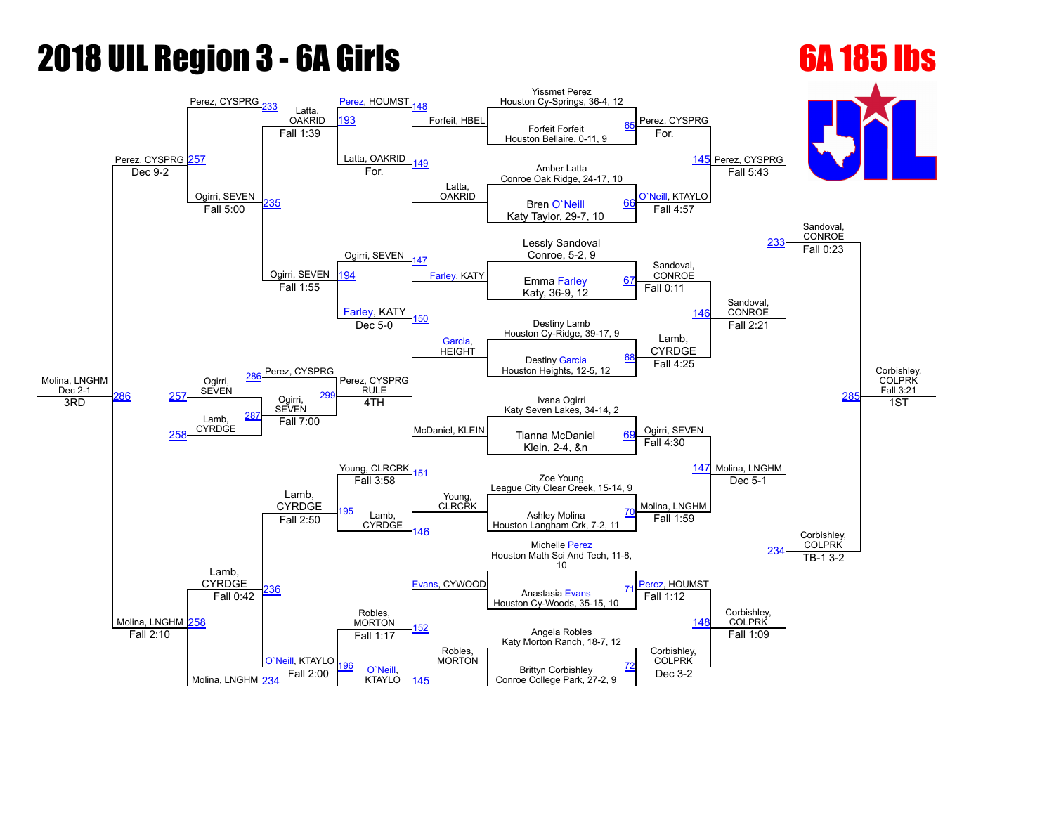# **2018 UIL Region 3 - 6A Girls 6A 185 lbs**

Molina, LNGHM [234](javascript:openBoutSheet(20,)

KTAYLO [145](javascript:openBoutSheet(9,)

### Molina, LNGHM Dec 2-1 Perez, CYSPRG [257](javascript:openBoutSheet(25,) Perez, CYSPRG Latta, OAKRID [Perez](javascript:viewProfile(1488835096)), HOUMST [148](javascript:openBoutSheet(15,) Forfeit, HBEL Yissmet Perez Houston Cy-Springs, 36-4, 12 Perez, CYSPRG Perez, CYSPRG Sandoval, **CONROE** Corbishley, COLPRK Fall 3:21 [193](javascript:openBoutSheet(18,) Forfeit Forfeit Houston Bellaire, 0-11, 9 [65](javascript:openBoutSheet(1,) Fall 1:39 Latta, OAKRID Latta, OAKRID For. [145](javascript:openBoutSheet(9,) Amber Latta Conroe Oak Ridge, 24-17, 10 Dec 9-2 Ogirri, SEVEN [235](javascript:openBoutSheet(23,) For. [O`Neill,](javascript:viewProfile(1548856096)) KTAYLO Fall 5:43 Bren [O`Neill](javascript:viewProfile(1548856096)) Katy Taylor, 29-7, 10 [66](javascript:openBoutSheet(2,) Fall 5:00 Ogirri, SEVEN Fall 4:57 Lessly Sandoval 23 Conroe, 5-2, 9 Ogirri, SEVEN  $\overline{17}$ [Farley](javascript:viewProfile(1552832096)), KATY Sandoval, CONROE Fall 0:23 94 **Example [Farley](javascript:viewProfile(1552832096)), KATY** Emma Farley Katy, 36-9, 12 [67](javascript:openBoutSheet(3,) Fall 1:55 [Farley](javascript:viewProfile(1552832096)), KATY [150](javascript:openBoutSheet(12,) [Garcia](javascript:viewProfile(1290605096)), **HEIGHT** Fall 0:11 [146](javascript:openBoutSheet(11,) Sandoval, **CONROE** Destiny Lamb Houston Cy-Ridge, 39-17, 9 Perez, CYSPRG Dec  $5-0$ Lamb, CYRDGE Fall 2:21 28 Destiny [Garcia](javascript:viewProfile(1290605096)) Houston Heights, 12-5, 12 [68](javascript:openBoutSheet(4,) Ogirri, SEVEN [286](javascript:openBoutSheet(28,)<sup>- CIE</sup>Z, CT ST THE Perez, CYSPRG RULE McDaniel, KLEIN Fall 4:25 [257](javascript:openBoutSheet(25,) **DEVEN** Ogirri, SEVEN [299](javascript:openBoutSheet(30,) Ivana Ogirri Katy Seven Lakes, 34-14, 2 3RD Lamb, **CYRDGE** [287](javascript:openBoutSheet(27,) 4TH Ogirri, SEVEN Molina, LNGHM 1ST [258](javascript:openBoutSheet(26,) Fall 7:00 Tianna McDaniel Klein, 2-4, &n [69](javascript:openBoutSheet(5,) Lamb, CYRDGE Young, CLRCRK [151](javascript:openBoutSheet(14,) Young, CLRCRK Fall 4:30 [147](javascript:openBoutSheet(13,) Molina, LNGHM [258](javascript:openBoutSheet(26,) Lamb, CYRDGE Zoe Young League City Clear Creek, 15-14, 9 Fall 3:58 Molina, LNGHM Dec 5-1 Corbishley, COLPRK [195](javascript:openBoutSheet(21,) Lamb, CYRDGE Ashley Molina Houston Langham Crk, 7-2, 11 [70](javascript:openBoutSheet(6,) Fall 2:50 [146](javascript:openBoutSheet(11,) Fall 1:59 [234](javascript:openBoutSheet(20,) Robles, **MORTON** Michelle [Perez](javascript:viewProfile(1488835096)) Houston Math Sci And Tech, 11-8, 10 [236](javascript:openBoutSheet(24,) [Evans](javascript:viewProfile(1291763096)), CYWOOD **Perez**, HOUMST TB-1 3-2 Anastasia [Evans](javascript:viewProfile(1291763096)) Houston Cy-Woods, 35-15, 10 [71](javascript:openBoutSheet(7,) Fall 0:42 [152](javascript:openBoutSheet(16,) Robles, MORTON Fall 1:12 [148](javascript:openBoutSheet(15,) Corbishley, **COLPRK** Angela Robles Katy Morton Ranch, 18-7, 12 Fall 2:10 [O`Neill,](javascript:viewProfile(1548856096)) KTAYLO Fall 1:17 Corbishley, **COLPRK** Fall 1:09 96 [O`Neill](javascript:viewProfile(1548856096)) Brittyn Corbishley [72](javascript:openBoutSheet(8,) Fall 2:00 Dec  $3-2$

Conroe College Park, 27-2, 9